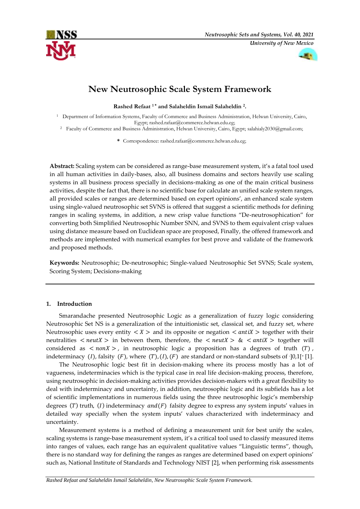



# **New Neutrosophic Scale System Framework**

**Rashed Refaat <sup>1</sup> \* and Salaheldin Ismail Salaheldin <sup>2</sup> .**

<sup>1</sup> Department of Information Systems, Faculty of Commerce and Business Administration, Helwan University, Cairo, Egypt; [rashed.rafaat@commerce.helwan.edu.eg;](mailto:rashed.rafaat@commerce.helwan.edu.eg)

<sup>2</sup> Faculty of Commerce and Business Administration, Helwan University, Cairo, Egypt; [salahialy2030@gmail.com;](mailto:salahialy2030@gmail.com)

**\*** Correspondence: [rashed.rafaat@commerce.helwan.edu.eg;](mailto:rashed.rafaat@commerce.helwan.edu.eg)

**Abstract:** Scaling system can be considered as range-base measurement system, it's a fatal tool used in all human activities in daily-bases, also, all business domains and sectors heavily use scaling systems in all business process specially in decisions-making as one of the main critical business activities, despite the fact that, there is no scientific base for calculate an unified scale system ranges, all provided scales or ranges are determined based on expert opinions', an enhanced scale system using single-valued neutrosophic set SVNS is offered that suggest a scientific methods for defining ranges in scaling systems, in addition, a new crisp value functions "De-neutrosophication" for converting both Simplified Neutrosophic Number SNN, and SVNS to them equivalent crisp values using distance measure based on Euclidean space are proposed, Finally, the offered framework and methods are implemented with numerical examples for best prove and validate of the framework and proposed methods.

**Keywords:** Neutrosophic; De-neutrosophic; Single-valued Neutrosophic Set SVNS; Scale system, Scoring System; Decisions-making

# **1. Introduction**

Smarandache presented Neutrosophic Logic as a generalization of fuzzy logic considering Neutrosophic Set NS is a generalization of the intuitionistic set, classical set, and fuzzy set, where Neutrosophic uses every entity  $\langle X \rangle$  and its opposite or negation  $\langle antiX \rangle$  together with their neutralities  $\langle$  neutX  $>$  in between them, therefore, the  $\langle$  neutX  $>$  &  $\langle$  antiX  $>$  together will considered as  $\langle n \cdot n \rangle$ , in neutrosophic logic a proposition has a degrees of truth (T), indeterminacy  $(I)$ , falsity  $(F)$ , where  $(T)$ ,  $(I)$ ,  $(F)$  are standard or non-standard subsets of  $\cdot$ ]0,1[ $\cdot$ [1].

The Neutrosophic logic best fit in decision-making where its process mostly has a lot of vagueness, indeterminacies which is the typical case in real life decision-making process, therefore, using neutrosophic in decision-making activities provides decision-makers with a great flexibility to deal with indeterminacy and uncertainty, in addition, neutrosophic logic and its subfields has a lot of scientific implementations in numerous fields using the three neutrosophic logic's membership degrees (T) truth, (I) indeterminacy  $and(F)$  falsity degree to express any system inputs' values in detailed way specially when the system inputs' values characterized with indeterminacy and uncertainty.

Measurement systems is a method of defining a measurement unit for best unify the scales, scaling systems is range-base measurement system, it's a critical tool used to classify measured items into ranges of values, each range has an equivalent qualitative values "Linguistic terms", though, there is no standard way for defining the ranges as ranges are determined based on expert opinions' such as, National Institute of Standards and Technology NIST [2], when performing risk assessments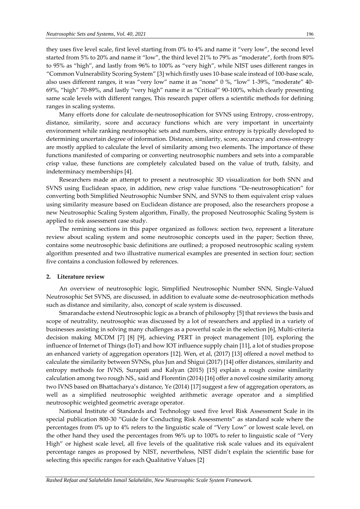they uses five level scale, first level starting from 0% to 4% and name it "very low", the second level started from 5% to 20% and name it "low", the third level 21% to 79% as "moderate", forth from 80% to 95% as "high", and lastly from 96% to 100% as "very high", while NIST uses different ranges in "Common Vulnerability Scoring System" [3] which firstly uses 10-base scale instead of 100-base scale, also uses different ranges, it was "very low" name it as "none" 0 %, "low" 1-39%, "moderate" 40- 69%, "high" 70-89%, and lastly "very high" name it as "Critical" 90-100%, which clearly presenting same scale levels with different ranges, This research paper offers a scientific methods for defining ranges in scaling systems.

Many efforts done for calculate de-neutrosophication for SVNS using Entropy, cross-entropy, distance, similarity, score and accuracy functions which are very important in uncertainty environment while ranking neutrosophic sets and numbers, since entropy is typically developed to determining uncertain degree of information. Distance, similarity, score, accuracy and cross-entropy are mostly applied to calculate the level of similarity among two elements. The importance of these functions manifested of comparing or converting neutrosophic numbers and sets into a comparable crisp value, these functions are completely calculated based on the value of truth, falsity, and indeterminacy memberships [4].

Researchers made an attempt to present a neutrosophic 3D visualization for both SNN and SVNS using Euclidean space, in addition, new crisp value functions "De-neutrosophication" for converting both Simplified Neutrosophic Number SNN, and SVNS to them equivalent crisp values using similarity measure based on Euclidean distance are proposed, also the researchers propose a new Neutrosophic Scaling System algorithm, Finally, the proposed Neutrosophic Scaling System is applied to risk assessment case study.

The remining sections in this paper organized as follows: section two, represent a literature review about scaling system and some neutrosophic concepts used in the paper; Section three, contains some neutrosophic basic definitions are outlined; a proposed neutrosophic scaling system algorithm presented and two illustrative numerical examples are presented in section four; section five contains a conclusion followed by references.

# **2. Literature review**

An overview of neutrosophic logic, Simplified Neutrosophic Number SNN, Single-Valued Neutrosophic Set SVNS, are discussed, in addition to evaluate some de-neutrosophication methods such as distance and similarity, also, concept of scale system is discussed.

Smarandache extend Neutrosophic logic as a branch of philosophy [5] that reviews the basis and scope of neutrality, neutrosophic was discussed by a lot of researchers and applied in a variety of businesses assisting in solving many challenges as a powerful scale in the selection [6], Multi-criteria decision making MCDM [7] [8] [9], achieving PERT in project management [10], exploring the influence of Internet of Things (IoT) and how IOT influence supply chain [11], a lot of studies propose an enhanced variety of aggregation operators [12]. Wen, et al, (2017) [13] offered a novel method to calculate the similarity between SVNSs, plus Jun and Shigui (2017) [14] offer distances, similarity and entropy methods for IVNS, Surapati and Kalyan (2015) [15] explain a rough cosine similarity calculation among two rough NS., said and Florentin (2014) [16] offer a novel cosine similarity among two IVNS based on Bhattacharya's distance, Ye (2014) [17] suggest a few of aggregation operators, as well as a simplified neutrosophic weighted arithmetic average operator and a simplified neutrosophic weighted geometric average operator.

National Institute of Standards and Technology used five level Risk Assessment Scale in its special publication 800-30 "Guide for Conducting Risk Assessments" as standard scale where the percentages from 0% up to 4% refers to the linguistic scale of "Very Low" or lowest scale level, on the other hand they used the percentages from 96% up to 100% to refer to linguistic scale of "Very High" or highest scale level, all five levels of the qualitative risk scale values and its equivalent percentage ranges as proposed by NIST, nevertheless, NIST didn't explain the scientific base for selecting this specific ranges for each Qualitative Values [2]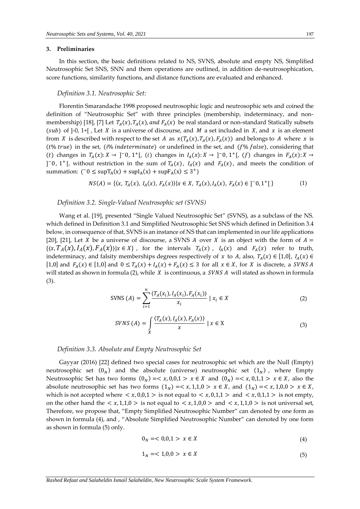#### **3. Preliminaries**

In this section, the basic definitions related to NS, SVNS, absolute and empty NS, Simplified Neutrosophic Set SNS, SNN and them operations are outlined, in addition de-neutrosophication, score functions, similarity functions, and distance functions are evaluated and enhanced.

#### <span id="page-2-0"></span>*Definition 3.1. Neutrosophic Set:*

Florentin Smarandache 1998 proposed neutrosophic logic and neutrosophic sets and coined the definition of "Neutrosophic Set" with three principles (membership, indeterminacy, and nonmembership) [18], [7] Let  $T_A(x)$ ,  $T_A(x)$ , and  $F_A(x)$  be real standard or non-standard Statically subsets (sub) of  $]-0, 1+$  [, Let X is a universe of discourse, and M a set included in X, and x is an element from X is described with respect to the set A as  $x(T_A(x), T_A(x), F_A(x))$  and belongs to A where x is ( $t\%$  true) in the set, (i% indeterminate) or undefined in the set, and ( $f\%$  false), considering that (t) changes in  $T_A(x): X \to ]-0, 1^+[$ , (i) changes in  $I_A(x): X \to ]-0, 1^+[$ , (f) changes in  $F_A(x): X \to ]-0$ ]<sup>-</sup>0, 1<sup>+</sup>[, without restriction in the sum of  $T_A(x)$ ,  $I_A(x)$  and  $F_A(x)$ , and meets the condition of summation:  $(0 \leq \sup T_A(x) + \sup T_A(x) + \sup F_A(x) \leq 3^+)$ 

$$
NS(A) = \{ \langle x, T_A(x), I_A(x), F_A(x) \rangle | x \in X, T_A(x), I_A(x), F_A(x) \in ]0, 1^+[ \}
$$
 (1)

#### *Definition 3.2. Single-Valued Neutrosophic set (SVNS)*

Wang et al. [19], presented "Single Valued Neutrosophic Set" (SVNS), as a subclass of the NS. which defined i[n Definition 3.1](#page-2-0) and Simplified Neutrosophic Set SNS which defined in [Definition 3.4](#page-3-0) [below,](#page-3-0) in consequence of that, SVNS is an instance of NS that can implemented in our life applications [20], [21], Let *X* be a universe of discourse, a SVNS *A* over *X* is an object with the form of  $A =$  $\{(x,T_A(x),I_A(x),F_A(x))|x\in X\}$ , for the intervals  $T_A(x)$ ,  $I_A(x)$  and  $F_A(x)$  refer to truth, indeterminacy, and falsity memberships degrees respectively of x to A, also,  $T_A(x) \in [1,0]$ ,  $I_A(x) \in$ [1,0] and  $F_A(x) \in [1,0]$  and  $0 \le T_A(x) + I_A(x) + F_A(x) \le 3$  for all  $x \in X$ , for X is discrete, a SVNS A will stated as shown in formul[a \(2\),](#page-2-1) while  $X$  is continuous, a SVNS A will stated as shown in formula [\(3\).](#page-2-2)

SVNS (A) = 
$$
\sum_{i=1}^{n} \frac{\langle T_A(x_i), I_A(x_i), F_A(x_i) \rangle}{x_i} | x_i \in X
$$
 (2)

<span id="page-2-2"></span><span id="page-2-1"></span>
$$
SVNS(A) = \int_{x} \frac{\langle T_A(x), I_A(x), F_A(x) \rangle}{x} \mid x \in X
$$
\n(3)

#### *Definition 3.3. Absolute and Empty Neutrosophic Set*

Gayyar (2016) [22] defined two special cases for neutrosophic set which are the Null (Empty) neutrosophic set  $(0_N)$  and the absolute (universe) neutrosophic set  $(1_N)$ , where Empty Neutrosophic Set has two forms  $(0_N) = \langle x, 0, 0, 1 \rangle \times \langle x \in X \rangle$  and  $(0_N) = \langle x, 0, 1, 1 \rangle \times \langle x \in X \rangle$ , also the absolute neutrosophic set has two forms  $(1<sub>N</sub>) = < x, 1, 1, 0 > x \in X$ , and  $(1<sub>N</sub>) = < x, 1, 0, 0 > x \in X$ , which is not accepted where  $\langle x, 0, 0, 1 \rangle$  is not equal to  $\langle x, 0, 1, 1 \rangle$  and  $\langle x, 0, 1, 1 \rangle$  is not empty, on the other hand the  $\langle x, 1, 1, 0 \rangle$  is not equal to  $\langle x, 1, 0, 0 \rangle$  and  $\langle x, 1, 1, 0 \rangle$  is not universal set, Therefore, we propose that, "Empty Simplified Neutrosophic Number" can denoted by one form as shown in formula [\(4\),](#page-2-3) and , "Absolute Simplified Neutrosophic Number" can denoted by one form as shown in formul[a \(5\)](#page-2-4) only.

<span id="page-2-4"></span><span id="page-2-3"></span>
$$
0_N = 0.01 > x \in X \tag{4}
$$

$$
1_N = 1,0,0 > x \in X \tag{5}
$$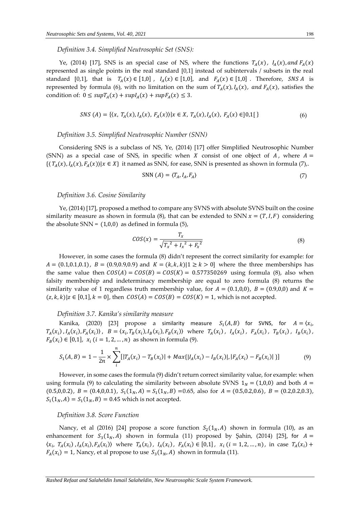<span id="page-3-0"></span>*Definition 3.4. Simplified Neutrosophic Set (SNS):*

Ye, (2014) [17], SNS is an special case of NS, where the functions  $T_A(x)$ ,  $I_A(x)$ , and  $F_A(x)$ represented as single points in the real standard [0,1] instead of subintervals / subsets in the real standard [0,1], that is  $T_A(x) \in [1,0]$ ,  $I_A(x) \in [1,0]$ , and  $F_A(x) \in [1,0]$ . Therefore, SNS A is represented by formula [\(6\),](#page-3-1) with no limitation on the sum of  $T_A(x)$ ,  $I_A(x)$ , and  $F_A(x)$ , satisfies the condition of:  $0 \leq supT_A(x) + supI_A(x) + supF_A(x) \leq 3$ .

$$
SNS (A) = \{ \langle x, T_A(x), I_A(x), F_A(x) \rangle | x \in X, T_A(x), I_A(x), F_A(x) \in ]0,1[ \}
$$
 (6)

# *Definition 3.5. Simplified Neutrosophic Number (SNN)*

Considering SNS is a subclass of NS, Ye, (2014) [17] offer Simplified Neutrosophic Number (SNN) as a special case of SNS, in specific when X consist of one object of A, where  $A =$  $\{\langle T_A(x), I_A(x), F_A(x)\rangle | x \in X\}$  it named as SNN, for ease, SNN is presented as shown in formul[a \(7\),](#page-3-2).

<span id="page-3-2"></span><span id="page-3-1"></span>
$$
SNN (A) = \langle T_A, I_A, F_A \rangle \tag{7}
$$

## *Definition 3.6. Cosine Similarity*

Ye, (2014) [17], proposed a method to compare any SVNS with absolute SVNS built on the cosine similarity measure as shown in formula [\(8\),](#page-3-3) that can be extended to SNN  $x = (T, I, F)$  considering the absolute  $SNN = (1,0,0)$  as defined in formula [\(5\),](#page-2-4)

<span id="page-3-4"></span><span id="page-3-3"></span>
$$
COS(x) = \frac{T_x}{\sqrt{T_x^2 + I_x^2 + F_x^2}}
$$
\n(8)

However, in some cases the formula [\(8\)](#page-3-3) didn't represent the correct similarity for example: for  $A = (0.1, 0.1, 0.1), B = (0.9, 0.9, 0.9)$  and  $K = (k, k, k)$   $|1 \ge k > 0$  where the three memberships has the same value then  $COS(A) = COS(B) = COS(K) = 0.577350269$  using formula [\(8\),](#page-3-3) also when falsity membership and indeterminacy membership are equal to zero formula [\(8\)](#page-3-3) returns the similarity value of 1 regardless truth membership value, for  $A = (0.1,0,0)$ ,  $B = (0.9,0,0)$  and  $K =$  $(z, k, k)|z \in [0,1], k = 0$ , then  $COS(A) = COS(B) = COS(K) = 1$ , which is not accepted.

# *Definition 3.7. Kanika's similarity measure*

Kanika, (2020) [23] propose a similarity measure  $S_1(A, B)$  for SVNS, for  $A = \langle x_i, \rangle$  $T_A(x_i)$ ,  $I_A(x_i)$ ,  $F_A(x_i)$ ),  $B = \langle x_i, T_B(x_i), I_B(x_i), F_B(x_i) \rangle$  where  $T_A(x_i)$ ,  $I_A(x_i)$ ,  $F_A(x_i)$ ,  $T_B(x_i)$ ,  $I_B(x_i)$ ,  $F_B(x_i) \in [0,1], x_i$  ( $i = 1, 2, ..., n$ ) as shown in formul[a \(9\).](#page-3-4)

$$
S_1(A,B) = 1 - \frac{1}{2n} \times \sum_{i}^{n} [|T_A(x_i) - T_B(x_i)| + Max\{ |I_A(x_i) - I_B(x_i)|, |F_A(x_i) - F_B(x_i)| \} ]
$$
(9)

However, in some cases the formula [\(9\)](#page-3-4) didn't return correct similarity value, for example: when using formula [\(9\)](#page-3-4) to calculating the similarity between absolute SVNS  $1<sub>N</sub> = (1,0,0)$  and both  $A =$  $(0.5,0,0.2), B = (0.4,0,0.1), S_1(1_N, A) = S_1(1_N, B) = 0.65$ , also for  $A = (0.5,0.2,0.6), B = (0.2,0.2,0.3)$ ,  $S_1(1_N, A) = S_1(1_N, B) = 0.45$  which is not accepted.

#### *Definition 3.8. Score Function*

Nancy, et al (2016) [24] propose a score function  $S_2(1_N,A)$  shown in formula [\(10\),](#page-4-0) as an enhancement for  $S_3(1_N, A)$  shown in formula [\(11\)](#page-4-1) proposed by Şahin, (2014) [25], for  $A =$  $(x_i, T_A(x_i), I_A(x_i), F_A(x_i))$  where  $T_A(x_i), T_A(x_i), F_A(x_i) \in [0,1]$ ,  $x_i$   $(i = 1, 2, ..., n)$ , in case  $T_A(x_i)$  +  $F_A(x_i) = 1$ , Nancy, et al propose to use  $S_3(1_N, A)$  shown in formula (11).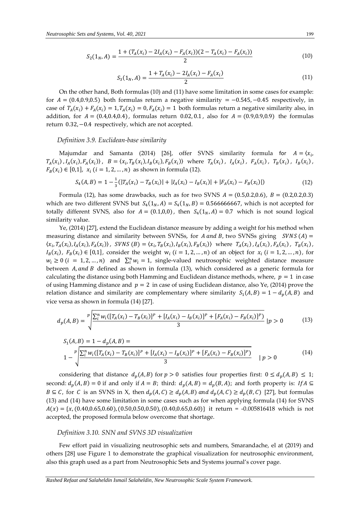$$
S_2(1_N, A) = \frac{1 + (T_A(x_i) - 2I_A(x_i) - F_A(x_i))(2 - T_A(x_i) - F_A(x_i))}{2}
$$
(10)

<span id="page-4-2"></span><span id="page-4-1"></span><span id="page-4-0"></span>
$$
S_3(1_N, A) = \frac{1 + T_A(x_i) - 2I_A(x_i) - F_A(x_i)}{2}
$$
\n(11)

On the other hand, Both formulas [\(10\)](#page-4-0) and [\(11\)](#page-4-1) have some limitation in some cases for example: for  $A = (0.4,0.9,0.5)$  both formulas return a negative similarity = -0.545, -0.45 respectively, in case of  $T_A(x_i) + F_A(x_i) = 1$ ,  $T_A(x_i) = 0$ ,  $F_A(x_i) = 1$  both formulas return a negative similarity also, in addition, for  $A = (0.4, 0.4, 0.4)$ , formulas return 0.02, 0.1, also for  $A = (0.9, 0.9, 0.9)$  the formulas return 0.32,−0.4 respectively, which are not accepted.

#### *Definition 3.9. Euclidean-base similarity*

Majumdar and Samanta (2014) [26], offer SVNS similarity formula for  $A = \langle x_i, \rangle$  $T_A(x_i)$ ,  $I_A(x_i)$ ,  $F_A(x_i)$ ),  $B = \langle x_i, T_B(x_i), I_B(x_i), F_B(x_i) \rangle$  where  $T_A(x_i)$ ,  $I_A(x_i)$ ,  $F_A(x_i)$ ,  $T_B(x_i)$ ,  $I_B(x_i)$ ,  $F_B(x_i) \in [0,1], x_i$  ( $i = 1, 2, ..., n$ ) as shown in formul[a \(12\).](#page-4-2)

$$
S_4(A, B) = 1 - \frac{1}{3} (|T_A(x_i) - T_B(x_i)| + |I_A(x_i) - I_B(x_i)| + |F_A(x_i) - F_B(x_i)|)
$$
(12)

Formula [\(12\),](#page-4-2) has some drawbacks, such as for two SVNS  $A = (0.5, 0.2, 0.6)$ ,  $B = (0.2, 0.2, 0.3)$ which are two different SVNS but  $S_4(1_N, A) = S_4(1_N, B) = 0.566666667$ , which is not accepted for totally different SVNS, also for  $A = (0.1, 0.0)$ , then  $S_4(1_N, A) = 0.7$  which is not sound logical similarity value.

Ye, (2014) [27], extend the Euclidean distance measure by adding a weight for his method when measuring distance and similarity between SVNSs, for  $A$  and  $B$ , two SVNSs giving  $S V N S(A) =$  $\langle x_i, T_A(x_i), I_A(x_i), F_A(x_i) \rangle$ , SVNS  $(B) = \langle x_i, T_B(x_i), I_B(x_i), F_B(x_i) \rangle$  where  $T_A(x_i), I_A(x_i), F_A(x_i)$ ,  $T_B(x_i)$ ,  $I_B(x_i)$ ,  $F_B(x_i) \in [0,1]$ , consider the weight  $w_i$   $(i = 1, 2, ..., n)$  of an object for  $x_i$   $(i = 1, 2, ..., n)$ , for  $w_i \ge 0$  (*i* = 1, 2, ..., *n*) and  $\sum_i^n w_i = 1$ , single-valued neutrosophic weighted distance measure between  $A$ , and  $B$  defined as shown in formula [\(13\),](#page-4-3) which considered as a generic formula for calculating the distance using both Hamming and Euclidean distance methods, where,  $p = 1$  in case of using Hamming distance and  $p = 2$  in case of using Euclidean distance, also Ye, (2014) prove the relation distance and similarity are complementary where similarity  $S_1(A, B) = 1 - d_p(A, B)$  and vice versa as shown in formula [\(14\)](#page-4-4) [27].

$$
d_p(A,B) = \sqrt[p]{\frac{\sum_{i}^{n} w_i([T_A(x_i) - T_B(x_i)]^p + [I_A(x_i) - I_B(x_i)]^p + [F_A(x_i) - F_B(x_i)]^p)}{3}} \quad |p > 0 \tag{13}
$$

<span id="page-4-4"></span><span id="page-4-3"></span>
$$
S_1(A, B) = 1 - d_p(A, B) =
$$
  

$$
1 - \sqrt{\frac{\sum_{i=1}^{n} w_i ([T_A(x_i) - T_B(x_i)]^p + [I_A(x_i) - I_B(x_i)]^p + [F_A(x_i) - F_B(x_i)]^p)}{3}}
$$
  $|p > 0$  (14)

considering that distance  $d_p(A, B)$  for  $p > 0$  satisfies four properties first:  $0 \le d_p(A, B) \le 1$ ; second:  $d_p(A, B) = 0$  if and only if  $A = B$ ; third:  $d_p(A, B) = d_p(B, A)$ ; and forth property is: If  $A \subseteq$  $B \subseteq C$ , for C is an SVNS in X, then  $d_p(A, C) \ge d_p(A, B)$  and  $d_p(A, C) \ge d_p(B, C)$  [27], but formulas [\(13\)](#page-4-3) and [\(14\)](#page-4-4) have some limitation in some cases such as for when applying formula [\(14\)](#page-4-4) for SVNS  $A(x) = {x, (0.40, 0.65, 0.60), (0.50, 0.50, 0.50), (0.40, 0.65, 0.60)}$  it return = -0.005816418 which is not accepted, the proposed formula below overcome that shortage.

# *Definition 3.10. SNN and SVNS 3D visualization*

Few effort paid in visualizing neutrosophic sets and numbers, Smarandache, el at (2019) and others [28] use [Figure 1](#page-5-0) to demonstrate the graphical visualization for neutrosophic environment, also this graph used as a part from Neutrosophic Sets and Systems journal's cover page.

*Rashed Refaat and Salaheldin Ismail Salaheldin, New Neutrosophic Scale System Framework.*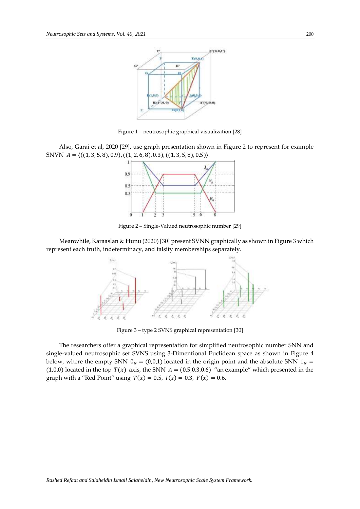

Figure 1 – neutrosophic graphical visualization [28]

<span id="page-5-0"></span>Also, Garai et al, 2020 [29], use graph presentation shown in [Figure 2](#page-5-1) to represent for example SNVN  $A = \langle ((1, 3, 5, 8), 0.9), ((1, 2, 6, 8), 0.3), ((1, 3, 5, 8), 0.5) \rangle$ .



Figure 2 – Single-Valued neutrosophic number [29]

<span id="page-5-1"></span>Meanwhile, Karaaslan & Hunu (2020) [30] present SVNN graphically as shown i[n Figure 3](#page-5-2) which represent each truth, indeterminacy, and falsity memberships separately.



Figure 3 – type 2 SVNS graphical representation [30]

<span id="page-5-2"></span>The researchers offer a graphical representation for simplified neutrosophic number SNN and single-valued neutrosophic set SVNS using 3-Dimentional Euclidean space as shown in [Figure 4](#page-6-0) [below,](#page-6-0) where the empty SNN  $0_N = (0,0,1)$  located in the origin point and the absolute SNN  $1_N =$ (1,0,0) located in the top  $T(x)$  axis, the SNN  $A = (0.5,0.3,0.6)$  "an example" which presented in the graph with a "Red Point" using  $T(x) = 0.5$ ,  $I(x) = 0.3$ ,  $F(x) = 0.6$ .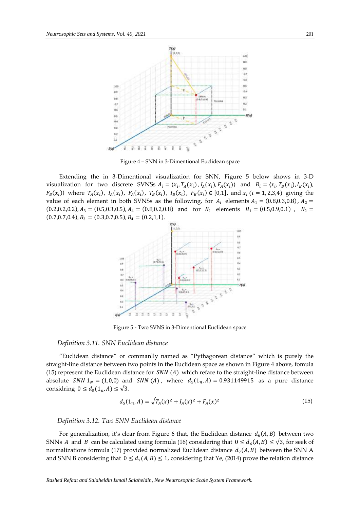

Figure 4 – SNN in 3-Dimentional Euclidean space

<span id="page-6-0"></span>Extending the in 3-Dimentional visualization for SNN, [Figure 5](#page-6-1) [below](#page-6-1) shows in 3-D visualization for two discrete SVNSs  $A_i = \langle x_i, T_A(x_i), I_A(x_i), F_A(x_i) \rangle$  and  $B_i = \langle x_i, T_B(x_i), I_B(x_i) \rangle$  $F_B(x_i)$  where  $T_A(x_i)$ ,  $I_A(x_i)$ ,  $F_A(x_i)$ ,  $T_B(x_i)$ ,  $I_B(x_i)$ ,  $F_B(x_i) \in [0,1]$ , and  $x_i$  ( $i = 1, 2, 3, 4$ ) giving the value of each element in both SVNSs as the following, for  $A_i$  elements  $A_1 = (0.8, 0.3, 0.8)$ ,  $A_2 =$  $(0.2,0.2,0.2), A_3 = (0.5,0.3,0.5), A_4 = (0.8,0.2,0.8)$  and for  $B_i$  elements  $B_1 = (0.5,0.9,0.1)$ ,  $B_2 =$  $(0.7, 0.7, 0.4), B_3 = (0.3, 0.7, 0.5), B_4 = (0.2, 1, 1).$ 



Figure 5 - Two SVNS in 3-Dimentional Euclidean space

# <span id="page-6-1"></span>*Definition 3.11. SNN Euclidean distance*

"Euclidean distance" or commanlly named as "Pythagorean distance" which is purely the straight-line distance between two points in the Euclidean space as shown in [Figure 4](#page-6-0) [above,](#page-6-0) fomula [\(15\)](#page-6-2) represent the Euclidean distance for  $SNN(A)$  which refare to the straight-line distance between absolute *SNN*  $1_N = (1,0,0)$  and *SNN* (*A*), where  $d_5(1_n, A) = 0.931149915$  as a pure distance considring  $0 \leq d_5(1_n, A) \leq \sqrt{3}$ .

<span id="page-6-2"></span>
$$
d_5(1_n, A) = \sqrt{T_A(x)^2 + I_A(x)^2 + F_A(x)^2}
$$
\n(15)

*Definition 3.12. Two SNN Euclidean distance*

For generalization, it's clear from [Figure 6](#page-7-0) that, the Euclidean distance  $d_6(A, B)$  between two SNNs A and B can be calculated using formul[a \(16\)](#page-7-1) considering that  $0 \le d_6(A, B) \le \sqrt{3}$ , for seek of normalizations formula [\(17\)](#page-7-2) provided normalized Euclidean distance  $d_7(A, B)$  between the SNN A and SNN B considering that  $0 \le d_7(A, B) \le 1$ , considering that Ye, (2014) prove the relation distance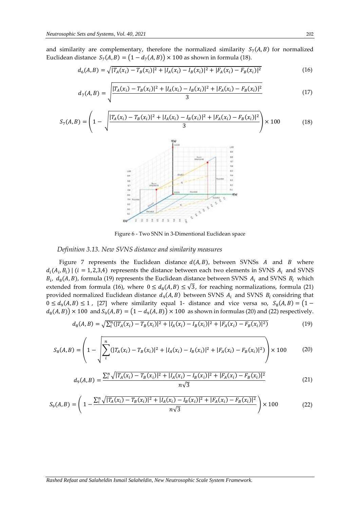and similarity are complementary, therefore the normalized similarity  $S_7(A, B)$  for normalized Euclidean distance  $S_7(A, B) = (1 - d_7(A, B)) \times 100$  as shown in formula [\(18\).](#page-7-3)

<span id="page-7-1"></span>
$$
d_6(A, B) = \sqrt{|T_A(x_i) - T_B(x_i)|^2 + |I_A(x_i) - I_B(x_i)|^2 + |F_A(x_i) - F_B(x_i)|^2}
$$
(16)

<span id="page-7-2"></span>
$$
d_7(A,B) = \sqrt{\frac{|T_A(x_i) - T_B(x_i)|^2 + |I_A(x_i) - I_B(x_i)|^2 + |F_A(x_i) - F_B(x_i)|^2}{3}}
$$
(17)

$$
S_{7}(A,B) = \left(1 - \sqrt{\frac{|T_{A}(x_{i}) - T_{B}(x_{i})|^{2} + |I_{A}(x_{i}) - I_{B}(x_{i})|^{2} + |F_{A}(x_{i}) - F_{B}(x_{i})|^{2}}{3}}\right) \times 100
$$
(18)

<span id="page-7-6"></span><span id="page-7-4"></span><span id="page-7-3"></span>Figure 6 - Two SNN in 3-Dimentional Euclidean space

#### <span id="page-7-0"></span>*Definition 3.13. New SVNS distance and similarity measures*

[Figure 7](#page-8-0) represents the Euclidean distance  $d(A, B)$ , between SVNSs A and B where  $d_i(A_i, B_i)$  | ( $i = 1, 2, 3, 4$ ) represents the distance between each two elements in SVNS  $A_i$  and SVNS  $B_i$ ,  $d_8(A, B)$ , formula [\(19\)](#page-7-4) represents the Euclidean distance between SVNS  $A_i$  and SVNS  $B_i$  which extended from formula [\(16\),](#page-7-1) where  $0 \leq d_8(A, B) \leq \sqrt{3}$ , for reaching normalizations, formula [\(21\)](#page-7-5) provided normalized Euclidean distance  $d_9(A, B)$  between SVNS  $A_i$  and SVNS  $B_i$  considring that  $0 \leq d_9(A, B) \leq 1$ , [27] where similarity equal 1- distance and vice versa so,  $S_8(A, B) = (1$  $d_8(A, B)$   $\times$  100 and  $S_9(A, B) = (1 - d_9(A, B)) \times 100$  as shown in formula[s \(20\)](#page-7-6) an[d \(22\)](#page-7-7) respectively.

$$
d_8(A,B) = \sqrt{\sum_{i}^{n} (|T_A(x_i) - T_B(x_i)|^2 + |I_A(x_i) - I_B(x_i)|^2 + |F_A(x_i) - F_B(x_i)|^2)}
$$
(19)

$$
S_8(A,B) = \left(1 - \sqrt{\sum_{i}^{n} (|T_A(x_i) - T_B(x_i)|^2 + |I_A(x_i) - I_B(x_i)|^2 + |F_A(x_i) - F_B(x_i)|^2)}\right) \times 100
$$
 (20)

<span id="page-7-7"></span><span id="page-7-5"></span>
$$
d_9(A,B) = \frac{\sum_{i}^{n} \sqrt{|T_A(x_i) - T_B(x_i)|^2 + |I_A(x_i) - I_B(x_i)|^2 + |F_A(x_i) - F_B(x_i)|^2}}{n\sqrt{3}}\tag{21}
$$

$$
S_9(A,B) = \left(1 - \frac{\sum_{i}^{n} \sqrt{|T_A(x_i) - T_B(x_i)|^2 + |I_A(x_i) - I_B(x_i)|^2 + |F_A(x_i) - F_B(x_i)|^2}}{n\sqrt{3}}\right) \times 100\tag{22}
$$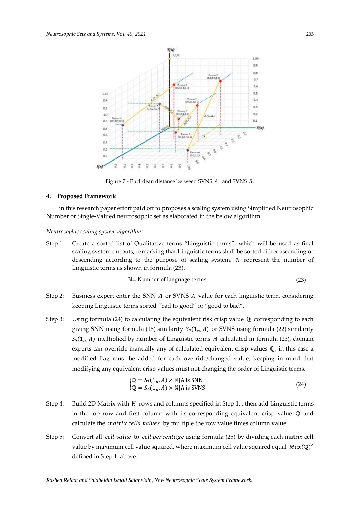

Figure 7 - Euclidean distance between SVNS  $A_i$  and SVNS  $B_i$ 

# <span id="page-8-0"></span>**4. Proposed Framework**

in this research paper effort paid off to proposes a scaling system using Simplified Neutrosophic Number or Single-Valued neutrosophic set as elaborated in the below algorithm.

#### *Neutrosophic scaling system algorithm:*

Step 1: Create a sorted list of Qualitative terms "Linguistic terms", which will be used as final scaling system outputs, remarking that Linguistic terms shall be sorted either ascending or descending according to the purpose of scaling system, N represent the number of Linguistic terms as shown in formul[a \(23\).](#page-8-1)

<span id="page-8-1"></span>
$$
N = Number of language terms
$$
\n
$$
(23)
$$

- Step 2: Business expert enter the SNN  $\vec{A}$  or SVNS  $\vec{A}$  value for each linguistic term, considering keeping Linguistic terms sorted "bad to good" or "good to bad".
- Step 3: Using formula [\(24\)](#page-8-2) to calculating the equivalent risk crisp value  $\mathbb Q$  corresponding to each giving SNN using formula [\(18\)](#page-7-3) similarity  $S_7(1_n, A)$  or SVNS using formula [\(22\)](#page-7-7) similarity  $S_9(1_n, A)$  multiplied by number of Linguistic terms N calculated in formula [\(23\),](#page-8-1) domain experts can override manually any of calculated equivalent crisp values ℚ, in this case a modified flag must be added for each override/changed value, keeping in mind that modifying any equivalent crisp values must not changing the order of Linguistic terms.

<span id="page-8-2"></span>
$$
\begin{aligned} \n\text{(Q} &= S_7(1_n, A) \times \mathbb{N} | \text{A is SNN} \\ \n\text{(Q} &= S_9(1_n, A) \times \mathbb{N} | \text{A is SVNS} \n\end{aligned} \tag{24}
$$

- Step 4: Build 2D Matrix with N rows and columns specified i[n Step 1: ,](#page-9-0) then add Linguistic terms in the top row and first column with its corresponding equivalent crisp value  $\mathbb Q$  and calculate the *matrix cells values* by multiple the row value times column value.
- Step 5: Convert all *cell value* to *cell percentage* using formula [\(25\)](#page-9-1) by dividing each matrix cell value by maximum cell value squared, where maximum cell value squared equal  $\textit{Max}(\mathbb{Q})^2$ defined i[n Step 1: a](#page-9-0)bove.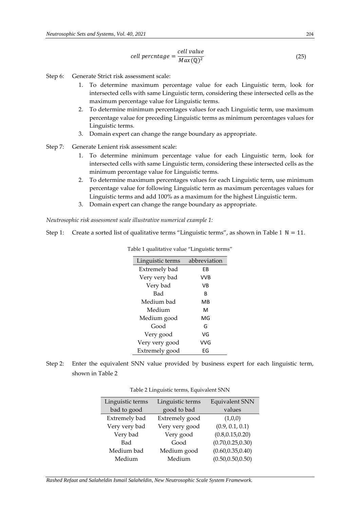<span id="page-9-1"></span>
$$
cell \, percentage = \frac{cell \, value}{Max(\mathbb{Q})^2} \tag{25}
$$

- Step 6: Generate Strict risk assessment scale:
	- 1. To determine maximum percentage value for each Linguistic term, look for intersected cells with same Linguistic term, considering these intersected cells as the maximum percentage value for Linguistic terms.
	- 2. To determine minimum percentages values for each Linguistic term, use maximum percentage value for preceding Linguistic terms as minimum percentages values for Linguistic terms.
	- 3. Domain expert can change the range boundary as appropriate.
- Step 7: Generate Lenient risk assessment scale:
	- 1. To determine minimum percentage value for each Linguistic term, look for intersected cells with same Linguistic term, considering these intersected cells as the minimum percentage value for Linguistic terms.
	- 2. To determine maximum percentages values for each Linguistic term, use minimum percentage value for following Linguistic term as maximum percentages values for Linguistic terms and add 100% as a maximum for the highest Linguistic term.
	- 3. Domain expert can change the range boundary as appropriate.

*Neutrosophic risk assessment scale illustrative numerical example 1:*

<span id="page-9-2"></span><span id="page-9-0"></span>Step 1: Create a sorted list of qualitative terms "Linguistic terms", as shown i[n Table 1](#page-9-2)  $\mathbb{N} = 11$ .

| Linguistic terms | abbreviation |  |  |  |  |  |
|------------------|--------------|--|--|--|--|--|
| Extremely bad    | FB           |  |  |  |  |  |
| Very very bad    | VVB          |  |  |  |  |  |
| Very bad         | VB           |  |  |  |  |  |
| Bad              | R            |  |  |  |  |  |
| Medium bad       | MВ           |  |  |  |  |  |
| Medium           | м            |  |  |  |  |  |
| Medium good      | MG           |  |  |  |  |  |
| Good             | G            |  |  |  |  |  |
| Very good        | VG           |  |  |  |  |  |
| Very very good   | VVG          |  |  |  |  |  |
| Extremely good   | EG           |  |  |  |  |  |

Table 1 qualitative value "Linguistic terms"

<span id="page-9-3"></span>Step 2: Enter the equivalent SNN value provided by business expert for each linguistic term, shown in [Table 2](#page-9-3)

| Linguistic terms | Linguistic terms | <b>Equivalent SNN</b> |  |  |
|------------------|------------------|-----------------------|--|--|
| bad to good      | good to bad      | values                |  |  |
| Extremely bad    | Extremely good   | (1,0,0)               |  |  |
| Very very bad    | Very very good   | (0.9, 0.1, 0.1)       |  |  |
| Very bad         | Very good        | (0.8, 0.15, 0.20)     |  |  |
| Bad              | Good             | (0.70, 0.25, 0.30)    |  |  |
| Medium bad       | Medium good      | (0.60, 0.35, 0.40)    |  |  |
| Medium           | Medium           | (0.50, 0.50, 0.50)    |  |  |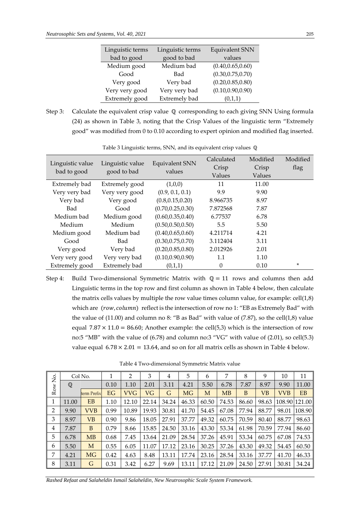| Linguistic terms | Linguistic terms | Equivalent SNN     |  |  |  |
|------------------|------------------|--------------------|--|--|--|
| bad to good      | good to bad      | values             |  |  |  |
| Medium good      | Medium bad       | (0.40, 0.65, 0.60) |  |  |  |
| Good             | Bad              | (0.30, 0.75, 0.70) |  |  |  |
| Very good        | Very bad         | (0.20, 0.85, 0.80) |  |  |  |
| Very very good   | Very very bad    | (0.10, 0.90, 0.90) |  |  |  |
| Extremely good   | Extremely bad    | (0,1,1)            |  |  |  |

Step 3: Calculate the equivalent crisp value  $\mathbb Q$  corresponding to each giving SNN Using formula [\(24\)](#page-8-2) as shown in [Table 3,](#page-10-0) noting that the Crisp Values of the linguistic term "Extremely good" was modified from 0 to 0.10 according to expert opinion and modified flag inserted.

<span id="page-10-0"></span>

| Linguistic value<br>bad to good | Linguistic value<br>good to bad | <b>Equivalent SNN</b><br>values | Calculated<br>Crisp<br>Values | Modified<br>Crisp<br>Values | Modified<br>flag |
|---------------------------------|---------------------------------|---------------------------------|-------------------------------|-----------------------------|------------------|
| Extremely bad                   | Extremely good                  | (1,0,0)                         | 11                            | 11.00                       |                  |
| Very very bad                   | Very very good                  | (0.9, 0.1, 0.1)                 | 9.9                           | 9.90                        |                  |
| Very bad                        | Very good                       | (0.8, 0.15, 0.20)               | 8.966735                      | 8.97                        |                  |
| Bad                             | Good                            | (0.70, 0.25, 0.30)              | 7.872568                      | 7.87                        |                  |
| Medium bad                      | Medium good                     | (0.60, 0.35, 0.40)              | 6.77537                       | 6.78                        |                  |
| Medium                          | Medium                          | (0.50, 0.50, 0.50)              | 5.5                           | 5.50                        |                  |
| Medium good                     | Medium bad                      | (0.40, 0.65, 0.60)              | 4.211714                      | 4.21                        |                  |
| Good                            | Bad                             | (0.30, 0.75, 0.70)              | 3.112404                      | 3.11                        |                  |
| Very good                       | Very bad                        | (0.20, 0.85, 0.80)              | 2.012926                      | 2.01                        |                  |
| Very very good                  | Very very bad                   | (0.10, 0.90, 0.90)              | 1.1                           | 1.10                        |                  |
| Extremely good                  | Extremely bad                   | (0,1,1)                         | $\Omega$                      | 0.10                        | ×.               |

Table 3 Linguistic terms, SNN, and its equivalent crisp values  $\mathbb Q$ 

Step 4: Build Two-dimensional Symmetric Matrix with  $Q = 11$  rows and columns then add Linguistic terms in the top row and first column as shown in [Table 4](#page-10-1) [below,](#page-10-1) then calculate the matrix cells values by multiple the row value times column value, for example:  $\text{cell}(1,8)$ which are  $(row, column)$  reflect is the intersection of row no 1: "EB as Extremely Bad" with the value of  $(11.00)$  and column no 8: "B as Bad" with value of  $(7.87)$ , so the cell $(1,8)$  value equal  $7.87 \times 11.0 = 86.60$ ; Another example: the cell(5,3) which is the intersection of row no:5 "MB" with the value of (6.78) and column no:3 "VG" with value of (2.01), so cell(5.3) value equal  $6.78 \times 2.01 = 13.64$ , and so on for all matrix cells as shown i[n Table 4](#page-10-1) [below.](#page-10-1)

<span id="page-10-1"></span>

|         |              | Col No.     |      | 2          | 3     | 4     | 5         | 6     | 7         | 8     | 9         | 10         | 11            |
|---------|--------------|-------------|------|------------|-------|-------|-----------|-------|-----------|-------|-----------|------------|---------------|
| Row No. | $\mathbb{Q}$ |             | 0.10 | 1.10       | 2.01  | 3.11  | 4.21      | 5.50  | 6.78      | 7.87  | 8.97      | 9.90       | 11.00         |
|         |              | term Prefix | EG   | <b>VVG</b> | VG    | G     | <b>MG</b> | M     | <b>MB</b> | B     | <b>VB</b> | <b>VVB</b> | <b>EB</b>     |
| 1       | 11.00        | <b>EB</b>   | 1.10 | 12.10      | 22.14 | 34.24 | 46.33     | 60.50 | 74.53     | 86.60 | 98.63     |            | 108.90 121.00 |
| 2       | 9.90         | <b>VVB</b>  | 0.99 | 10.89      | 19.93 | 30.81 | 41.70     | 54.45 | 67.08     | 77.94 | 88.77     | 98.01      | 108.90        |
| 3       | 8.97         | VВ          | 0.90 | 9.86       | 18.05 | 27.91 | 37.77     | 49.32 | 60.75     | 70.59 | 80.40     | 88.77      | 98.63         |
| 4       | 7.87         | B           | 0.79 | 8.66       | 15.85 | 24.50 | 33.16     | 43.30 | 53.34     | 61.98 | 70.59     | 77.94      | 86.60         |
| 5       | 6.78         | MB          | 0.68 | 7.45       | 13.64 | 21.09 | 28.54     | 37.26 | 45.91     | 53.34 | 60.75     | 67.08      | 74.53         |
| 6       | 5.50         | M           | 0.55 | 6.05       | 11.07 | 17.12 | 23.16     | 30.25 | 37.26     | 43.30 | 49.32     | 54.45      | 60.50         |
| 7       | 4.21         | <b>MG</b>   | 0.42 | 4.63       | 8.48  | 13.11 | 17.74     | 23.16 | 28.54     | 33.16 | 37.77     | 41.70      | 46.33         |
| 8       | 3.11         | G           | 0.31 | 3.42       | 6.27  | 9.69  | 13.11     | 17.12 | 21.09     | 24.50 | 27.91     | 30.81      | 34.24         |

Table 4 Two-dimensional Symmetric Matrix value

*Rashed Refaat and Salaheldin Ismail Salaheldin, New Neutrosophic Scale System Framework.*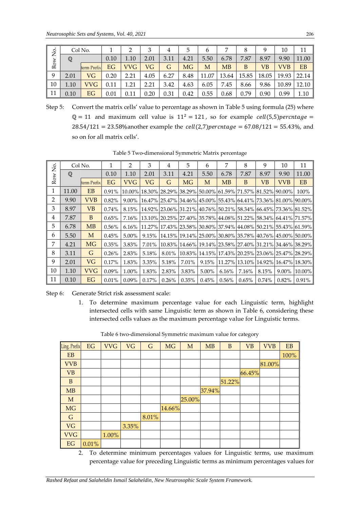| δ.  | Col No.<br>$\mathbb Q$ |             |      |            |      | 4    | 5    | 6     |           | 8     | 9     | 10         |           |
|-----|------------------------|-------------|------|------------|------|------|------|-------|-----------|-------|-------|------------|-----------|
|     |                        |             | 0.10 | 1.10       | 2.01 | 3.11 | 4.21 | 5.50  | 6.78      | 7.87  | 8.97  | 9.90       | 11.00     |
| Row |                        | term Prefix | EG   | <b>VVG</b> | VG   | G    | MG   | M     | <b>MB</b> | B     | VВ    | <b>VVB</b> | <b>EB</b> |
| 9   | 2.01                   | VG          | 0.20 | 2.21       | 4.05 | 6.27 | 8.48 | 11.07 | 13.64     | 15.85 | 18.05 | 19.93      | 22.14     |
| 10  | 1.10                   | <b>VVG</b>  | 0.11 | .21        | 2.21 | 3.42 | 4.63 | 6.05  | 7.45      | 8.66  | 9.86  | 10.89      | 12.10     |
| 11  | 0.10                   | EG          | 0.01 | 0.11       | 0.20 | 0.31 | 0.42 | 0.55  | 0.68      | 0.79  | 0.90  | 0.99       | 1.10      |

|                                                                                   | Col No.                                                                                                                                                                                                   |                                                                                          | 1            | 2              | 3              | 4              | 5                                                                                  | 6           | 7         | 8            | 9          | 10                                 | 11           |
|-----------------------------------------------------------------------------------|-----------------------------------------------------------------------------------------------------------------------------------------------------------------------------------------------------------|------------------------------------------------------------------------------------------|--------------|----------------|----------------|----------------|------------------------------------------------------------------------------------|-------------|-----------|--------------|------------|------------------------------------|--------------|
| Row No.                                                                           | $\mathbb{Q}$                                                                                                                                                                                              |                                                                                          | 0.10         | 1.10           | 2.01           | 3.11           | 4.21                                                                               | 5.50        | 6.78      | 7.87         | 8.97       | 9.90                               | 11.00        |
|                                                                                   |                                                                                                                                                                                                           | term Prefix                                                                              | EG           | <b>VVG</b>     | VG             | $\mathsf G$    | <b>MG</b>                                                                          | M           | <b>MB</b> | B            | <b>VB</b>  | <b>VVB</b>                         | EB           |
| 9                                                                                 | 2.01                                                                                                                                                                                                      | <b>VG</b>                                                                                | 0.20         | 2.21           | 4.05           | 6.27           | 8.48                                                                               | 11.07       | 13.64     | 15.85        | 18.05      | 19.93                              | 22.14        |
| 10                                                                                | 1.10                                                                                                                                                                                                      | <b>VVG</b>                                                                               | 0.11         | 1.21           | 2.21           | 3.42           | 4.63                                                                               | 6.05        | 7.45      | 8.66         | 9.86       | 10.89                              | 12.10        |
| 11                                                                                | 0.10                                                                                                                                                                                                      | EG                                                                                       | 0.01         | 0.11           | 0.20           | 0.31           | 0.42                                                                               | 0.55        | 0.68      | 0.79         | 0.90       | 0.99                               | 1.10         |
|                                                                                   |                                                                                                                                                                                                           |                                                                                          |              |                |                |                |                                                                                    |             |           |              |            |                                    |              |
|                                                                                   | Step 5:<br>Convert the matrix cells' value to percentage as shown in Table 5 using formula (25) where                                                                                                     |                                                                                          |              |                |                |                |                                                                                    |             |           |              |            |                                    |              |
|                                                                                   | $\mathbb{Q} = 11$ and maximum cell value is $11^2 = 121$ , so for example cell(5,5) percntage =<br>$28.54/121 = 23.58\%$ another example the <i>cell</i> (2,7) <i>percntage</i> = 67.08/121 = 55.43%, and |                                                                                          |              |                |                |                |                                                                                    |             |           |              |            |                                    |              |
|                                                                                   |                                                                                                                                                                                                           |                                                                                          |              |                |                |                |                                                                                    |             |           |              |            |                                    |              |
|                                                                                   |                                                                                                                                                                                                           | so on for all matrix cells'.                                                             |              |                |                |                |                                                                                    |             |           |              |            |                                    |              |
| Table 5 Two-dimensional Symmetric Matrix percentage                               |                                                                                                                                                                                                           |                                                                                          |              |                |                |                |                                                                                    |             |           |              |            |                                    |              |
|                                                                                   |                                                                                                                                                                                                           |                                                                                          |              |                |                |                |                                                                                    |             |           |              |            |                                    |              |
|                                                                                   | Col No.                                                                                                                                                                                                   |                                                                                          | $\mathbf{1}$ | $\overline{2}$ | $\mathfrak{Z}$ | $\overline{4}$ | 5                                                                                  | 6           | 7         | 8            | 9          | 10                                 | 11           |
| Row No.                                                                           | $\mathbb{Q}$                                                                                                                                                                                              |                                                                                          | 0.10         | 1.10           | 2.01           | 3.11           | 4.21                                                                               | 5.50        | 6.78      | 7.87         | 8.97       | 9.90                               | 11.00        |
|                                                                                   |                                                                                                                                                                                                           | term Prefix                                                                              | EG           | <b>VVG</b>     | VG             | $\mathsf G$    | <b>MG</b>                                                                          | $\mathbf M$ | MB        | $\, {\bf B}$ | <b>VB</b>  | <b>VVB</b>                         | EB           |
| $\mathbf{1}$                                                                      | 11.00                                                                                                                                                                                                     | EB                                                                                       | 0.91%        |                |                |                | 10.00% 18.30% 28.29% 38.29% 50.00% 61.59% 71.57% 81.52% 90.00%                     |             |           |              |            |                                    | 100%         |
| $\overline{2}$                                                                    | 9.90                                                                                                                                                                                                      | <b>VVB</b>                                                                               | 0.82%        | 9.00%          |                |                | 16.47% 25.47% 34.46% 45.00% 55.43% 64.41% 73.36% 81.00% 90.00%                     |             |           |              |            |                                    |              |
| 3                                                                                 | 8.97                                                                                                                                                                                                      | <b>VB</b>                                                                                | 0.74%        | 8.15%          |                |                | 14.92% 23.06% 31.21% 40.76% 50.21% 58.34% 66.45% 73.36% 81.52%                     |             |           |              |            |                                    |              |
| $\overline{4}$                                                                    | 7.87                                                                                                                                                                                                      | $\mathbf B$                                                                              | 0.65%        | 7.16%          |                |                | 13.10% 20.25% 27.40% 35.78% 44.08% 51.22% 58.34% 64.41% 71.57%                     |             |           |              |            |                                    |              |
| 5                                                                                 | 6.78                                                                                                                                                                                                      | <b>MB</b>                                                                                | $0.56\%$     | 6.16%          |                |                | 11.27% 17.43% 23.58% 30.80% 37.94% 44.08% 50.21% 55.43% 61.59%                     |             |           |              |            |                                    |              |
| 6<br>7                                                                            | 5.50                                                                                                                                                                                                      | $\mathbf{M}$                                                                             | 0.45%        | $5.00\%$       |                |                | 9.15% 14.15% 19.14% 25.00% 30.80% 35.78% 40.76% 45.00% 50.00%                      |             |           |              |            |                                    |              |
| 8                                                                                 | 4.21                                                                                                                                                                                                      | <b>MG</b>                                                                                | 0.35%        | 3.83%          | 7.01%          |                | 10.83% 14.66% 19.14% 23.58% 27.40% 31.21% 34.46% 38.29%                            |             |           |              |            |                                    |              |
| 9                                                                                 | 3.11<br>2.01                                                                                                                                                                                              | G<br>VG                                                                                  | 0.26%        | 2.83%          | 5.18%          |                | 8.01% 10.83% 14.15% 17.43% 20.25% 23.06% 25.47% 28.29%                             |             |           |              |            |                                    |              |
| 10                                                                                | 1.10                                                                                                                                                                                                      | <b>VVG</b>                                                                               | 0.17%        | 1.83%          | 3.35%          | 5.18%          | 7.01%                                                                              | 9.15%       |           |              |            | 11.27% 13.10% 14.92% 16.47% 18.30% |              |
| 11                                                                                | 0.10                                                                                                                                                                                                      | EG                                                                                       | 0.09%        | 1.00%          | 1.83%          | 2.83%          | 3.83%                                                                              | 5.00%       | 6.16%     | 7.16%        | 8.15%      |                                    | 9.00% 10.00% |
|                                                                                   |                                                                                                                                                                                                           |                                                                                          | 0.01%        | 0.09%          | 0.17%          | $0.26\%$       | 0.35%                                                                              | 0.45%       | 0.56%     | 0.65%        | 0.74%      | $0.82\%$                           | 0.91%        |
| Step 6:                                                                           |                                                                                                                                                                                                           | Generate Strict risk assessment scale:                                                   |              |                |                |                |                                                                                    |             |           |              |            |                                    |              |
|                                                                                   | 1.                                                                                                                                                                                                        |                                                                                          |              |                |                |                | To determine maximum percentage value for each Linguistic term, highlight          |             |           |              |            |                                    |              |
|                                                                                   |                                                                                                                                                                                                           |                                                                                          |              |                |                |                | intersected cells with same Linguistic term as shown in Table 6, considering these |             |           |              |            |                                    |              |
|                                                                                   |                                                                                                                                                                                                           |                                                                                          |              |                |                |                | intersected cells values as the maximum percentage value for Linguistic terms.     |             |           |              |            |                                    |              |
|                                                                                   |                                                                                                                                                                                                           |                                                                                          |              |                |                |                | Table 6 two-dimensional Symmetric maximum value for category                       |             |           |              |            |                                    |              |
|                                                                                   |                                                                                                                                                                                                           |                                                                                          |              |                |                |                |                                                                                    |             |           |              |            |                                    |              |
|                                                                                   | Ling. Prefix                                                                                                                                                                                              | EG                                                                                       | <b>VVG</b>   | <b>VG</b>      | G              | <b>MG</b>      | M                                                                                  | <b>MB</b>   | B         | VB           | <b>VVB</b> | EB                                 |              |
|                                                                                   | EB                                                                                                                                                                                                        |                                                                                          |              |                |                |                |                                                                                    |             |           |              |            | 100%                               |              |
|                                                                                   | <b>VVB</b>                                                                                                                                                                                                |                                                                                          |              |                |                |                |                                                                                    |             |           |              | 81.00%     |                                    |              |
|                                                                                   | <b>VB</b>                                                                                                                                                                                                 |                                                                                          |              |                |                |                |                                                                                    |             |           | 66.45%       |            |                                    |              |
|                                                                                   | B                                                                                                                                                                                                         |                                                                                          |              |                |                |                |                                                                                    |             | 51.22%    |              |            |                                    |              |
|                                                                                   | MB                                                                                                                                                                                                        |                                                                                          |              |                |                |                |                                                                                    | 37.94%      |           |              |            |                                    |              |
|                                                                                   | $\mathbf M$                                                                                                                                                                                               |                                                                                          |              |                |                |                | 25.00%                                                                             |             |           |              |            |                                    |              |
|                                                                                   | MG                                                                                                                                                                                                        |                                                                                          |              |                |                | 14.66%         |                                                                                    |             |           |              |            |                                    |              |
|                                                                                   | $\mathsf G$                                                                                                                                                                                               |                                                                                          |              |                | 8.01%          |                |                                                                                    |             |           |              |            |                                    |              |
|                                                                                   | <b>VG</b><br><b>VVG</b>                                                                                                                                                                                   |                                                                                          |              | 3.35%          |                |                |                                                                                    |             |           |              |            |                                    |              |
|                                                                                   |                                                                                                                                                                                                           |                                                                                          | 1.00%        |                |                |                |                                                                                    |             |           |              |            |                                    |              |
|                                                                                   | EG<br>0.01%                                                                                                                                                                                               |                                                                                          |              |                |                |                |                                                                                    |             |           |              |            |                                    |              |
| To determine minimum percentages values for Linguistic terms, use maximum<br>2.   |                                                                                                                                                                                                           |                                                                                          |              |                |                |                |                                                                                    |             |           |              |            |                                    |              |
| percentage value for preceding Linguistic terms as minimum percentages values for |                                                                                                                                                                                                           |                                                                                          |              |                |                |                |                                                                                    |             |           |              |            |                                    |              |
|                                                                                   |                                                                                                                                                                                                           |                                                                                          |              |                |                |                |                                                                                    |             |           |              |            |                                    |              |
|                                                                                   |                                                                                                                                                                                                           | Rashed Refaat and Salaheldin Ismail Salaheldin, New Neutrosophic Scale System Framework. |              |                |                |                |                                                                                    |             |           |              |            |                                    |              |

Table 5 Two-dimensional Symmetric Matrix percentage

<span id="page-11-0"></span>

| Ling. Prefix | EG    | <b>VVG</b> | VG    | $\mathsf G$ | MG     | M      | MB     | B      | <b>VB</b> | <b>VVB</b> | EB   |
|--------------|-------|------------|-------|-------------|--------|--------|--------|--------|-----------|------------|------|
| EB           |       |            |       |             |        |        |        |        |           |            | 100% |
| <b>VVB</b>   |       |            |       |             |        |        |        |        |           | 81.00%     |      |
| <b>VB</b>    |       |            |       |             |        |        |        |        | 66.45%    |            |      |
| B            |       |            |       |             |        |        |        | 51.22% |           |            |      |
| MB           |       |            |       |             |        |        | 37.94% |        |           |            |      |
| M            |       |            |       |             |        | 25.00% |        |        |           |            |      |
| MG           |       |            |       |             | 14.66% |        |        |        |           |            |      |
| $\mathsf G$  |       |            |       | 8.01%       |        |        |        |        |           |            |      |
| <b>VG</b>    |       |            | 3.35% |             |        |        |        |        |           |            |      |
| <b>VVG</b>   |       | 1.00%      |       |             |        |        |        |        |           |            |      |
| EG           | 0.01% |            |       |             |        |        |        |        |           |            |      |

Table 6 two-dimensional Symmetric maximum value for category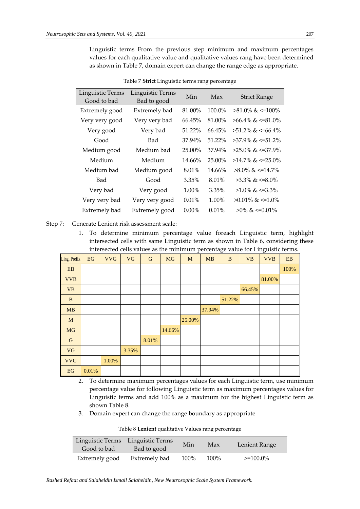Linguistic terms From the previous step minimum and maximum percentages values for each qualitative value and qualitative values rang have been determined as shown in Table 7, domain expert can change the range edge as appropriate.

<span id="page-12-1"></span>

| Linguistic Terms<br>Good to bad | Linguistic Terms<br>Bad to good | Min      | Max      | <b>Strict Range</b>       |
|---------------------------------|---------------------------------|----------|----------|---------------------------|
| Extremely good                  | Extremely bad                   | 81.00%   | 100.0%   | $>81.0\%$ & $\leq 100\%$  |
| Very very good                  | Very very bad                   | 66.45%   | 81.00%   | $>66.4\%$ & $\leq 81.0\%$ |
| Very good                       | Very bad                        | 51.22%   | 66.45%   | $>51.2\%$ & $\leq 66.4\%$ |
| Good                            | Bad                             | 37.94%   | 51.22%   | $>37.9\%$ & $\leq 51.2\%$ |
| Medium good                     | Medium bad                      | 25.00%   | 37.94%   | >25.0% & <=37.9%          |
| Medium                          | Medium                          | 14.66%   | 25.00%   | $>14.7\%$ & $\leq 25.0\%$ |
| Medium bad                      | Medium good                     | 8.01%    | 14.66%   | $>8.0\%$ & $\leq 14.7\%$  |
| Bad                             | Good                            | $3.35\%$ | 8.01%    | $>3.3\%$ & $\leq 8.0\%$   |
| Very bad                        | Very good                       | $1.00\%$ | $3.35\%$ | $>1.0\%$ & $\leq 3.3\%$   |
| Very very bad                   | Very very good                  | $0.01\%$ | $1.00\%$ | $>0.01\%$ & $\leq 1.0\%$  |
| Extremely bad                   | Extremely good                  | $0.00\%$ | $0.01\%$ | $>0\%$ & $\leq 0.01\%$    |

|  | Table 7 Strict Linguistic terms rang percentage |
|--|-------------------------------------------------|
|  |                                                 |

Step 7: Generate Lenient risk assessment scale:

1. To determine minimum percentage value foreach Linguistic term, highlight intersected cells with same Linguistic term as shown in [Table 6,](#page-11-0) considering these intersected cells values as the minimum percentage value for Linguistic terms.

| Ling. Prefix                    | EG    | <b>VVG</b> | <b>VG</b> | ${\bf G}$ | <b>MG</b> | M      | <b>MB</b> | $\bf{B}$ | <b>VB</b> | <b>VVB</b> | ${\bf EB}$ |
|---------------------------------|-------|------------|-----------|-----------|-----------|--------|-----------|----------|-----------|------------|------------|
| ${\bf EB}$                      |       |            |           |           |           |        |           |          |           |            | 100%       |
| <b>VVB</b>                      |       |            |           |           |           |        |           |          |           | 81.00%     |            |
| <b>VB</b>                       |       |            |           |           |           |        |           |          | 66.45%    |            |            |
| $\, {\bf B}$                    |       |            |           |           |           |        |           | 51.22%   |           |            |            |
| MB                              |       |            |           |           |           |        | 37.94%    |          |           |            |            |
| M                               |       |            |           |           |           | 25.00% |           |          |           |            |            |
| $MG$                            |       |            |           |           | 14.66%    |        |           |          |           |            |            |
| ${\bf G}$                       |       |            |           | 8.01%     |           |        |           |          |           |            |            |
| <b>VG</b>                       |       |            | 3.35%     |           |           |        |           |          |           |            |            |
| <b>VVG</b>                      |       | 1.00%      |           |           |           |        |           |          |           |            |            |
| $\mathop{\mathrm{EG}}\nolimits$ | 0.01% |            |           |           |           |        |           |          |           |            |            |

- 2. To determine maximum percentages values for each Linguistic term, use minimum percentage value for following Linguistic term as maximum percentages values for Linguistic terms and add 100% as a maximum for the highest Linguistic term as shown [Table 8.](#page-12-0)
- <span id="page-12-0"></span>3. Domain expert can change the range boundary as appropriate

| Table 8 Lenient qualitative Values rang percentage |  |
|----------------------------------------------------|--|
|----------------------------------------------------|--|

| Linguistic Terms<br>Good to bad | Linguistic Terms<br>Bad to good | Min  | Max  | Lenient Range |
|---------------------------------|---------------------------------|------|------|---------------|
| Extremely good                  | Extremely bad                   | 100% | 100% | $>=100.0\%$   |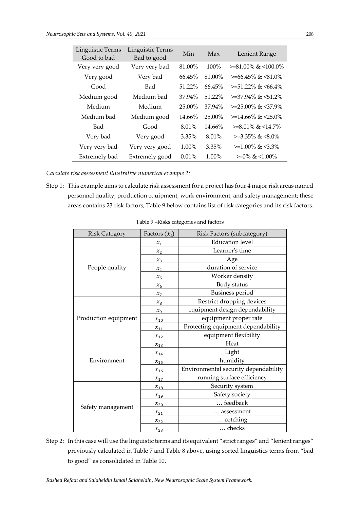| Linguistic Terms<br>Good to bad | Linguistic Terms<br>Bad to good | Min      | Max      | Lenient Range                |
|---------------------------------|---------------------------------|----------|----------|------------------------------|
| Very very good                  | Very very bad                   | 81.00%   | 100%     | $>= 81.00\%$ & $< 100.0\%$   |
| Very good                       | Very bad                        | 66.45%   | 81.00%   | $>= 66.45\%$ & $< 81.0\%$    |
| Good                            | Bad                             | 51.22%   | 66.45%   | $>= 51.22\%$ & $\leq 66.4\%$ |
| Medium good                     | Medium bad                      | 37.94%   | 51.22%   | $>=37.94\%$ & $<51.2\%$      |
| Medium                          | Medium                          | 25.00%   | 37.94%   | $>=25.00\%$ & $<37.9\%$      |
| Medium bad                      | Medium good                     | 14.66%   | 25.00%   | $>=14.66\%$ & $<25.0\%$      |
| Bad                             | Good                            | 8.01%    | 14.66%   | $>=8.01\%$ & $<14.7\%$       |
| Very bad                        | Very good                       | 3.35%    | 8.01%    | $>=3.35\%$ & $\leq 8.0\%$    |
| Very very bad                   | Very very good                  | $1.00\%$ | 3.35%    | $>=1.00\%$ & $\leq 3.3\%$    |
| Extremely bad                   | Extremely good                  | $0.01\%$ | $1.00\%$ | $>=0\% \< 1.00\%$            |

*Calculate risk assessment illustrative numerical example 2:*

<span id="page-13-0"></span>Step 1: This example aims to calculate risk assessment for a project has four 4 major risk areas named personnel quality, production equipment, work environment, and safety management; these areas contains 23 risk factors, [Table 9](#page-13-0) [below](#page-13-0) contains list of risk categories and its risk factors.

| <b>Risk Category</b> | Factors $(x_i)$ | Risk Factors (subcategory)           |  |
|----------------------|-----------------|--------------------------------------|--|
|                      | $x_1$           | <b>Education</b> level               |  |
|                      | $x_2$           | Learner's time                       |  |
|                      | $x_3$           | Age                                  |  |
| People quality       | $x_4$           | duration of service                  |  |
|                      | $x_{5}$         | Worker density                       |  |
|                      | $x_6$           | Body status                          |  |
|                      | $x_7$           | <b>Business period</b>               |  |
|                      | $x_8$           | Restrict dropping devices            |  |
|                      | $x_{9}$         | equipment design dependability       |  |
| Production equipment | $x_{10}$        | equipment proper rate                |  |
|                      | $x_{11}$        | Protecting equipment dependability   |  |
|                      | $x_{12}$        | equipment flexibility                |  |
|                      | $x_{13}$        | Heat                                 |  |
|                      | $x_{14}$        | Light                                |  |
| Environment          | $x_{15}$        | humidity                             |  |
|                      | $x_{16}$        | Environmental security dependability |  |
|                      | $x_{17}$        | running surface efficiency           |  |
|                      | $x_{18}$        | Security system                      |  |
|                      | $x_{19}$        | Safety society                       |  |
|                      | $x_{20}$        | feedback                             |  |
| Safety management    | $x_{21}$        | assessment                           |  |
|                      | $x_{22}$        | cotching                             |  |
|                      | $x_{23}$        | checks                               |  |

Table 9 –Risks categories and factors

Step 2: In this case will use the linguistic terms and its equivalent "strict ranges" and "lenient ranges" previously calculated i[n Table 7](#page-12-1) and [Table 8](#page-12-0) [above,](#page-12-0) using sorted linguistics terms from "bad to good" as consolidated in [Table 10.](#page-14-0)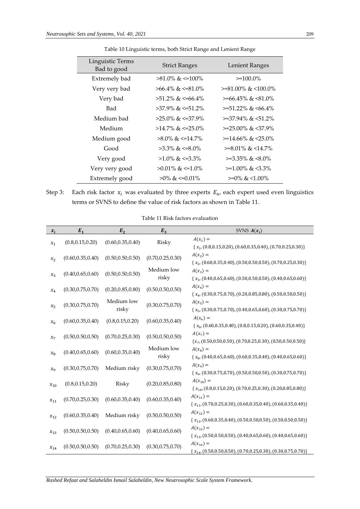<span id="page-14-0"></span>

| Linguistic Terms<br>Bad to good | <b>Strict Ranges</b>      | Lenient Ranges             |
|---------------------------------|---------------------------|----------------------------|
| Extremely bad                   | $>81.0\%$ & $\leq 100\%$  | $>=100.0\%$                |
| Very very bad                   | $>66.4\%$ & $\leq 81.0\%$ | $>= 81.00\%$ & $< 100.0\%$ |
| Very bad                        | $>51.2\%$ & $\leq 66.4\%$ | $>= 66.45\%$ & $< 81.0\%$  |
| Bad                             | $>37.9\%$ & $\leq 51.2\%$ | $>= 51.22\%$ & $< 66.4\%$  |
| Medium bad                      | $>25.0\%$ & $\leq 37.9\%$ | $>=$ 37.94% & $<$ 51.2%    |
| Medium                          | $>14.7\%$ & $\leq 25.0\%$ | $>=25.00\%$ & $<37.9\%$    |
| Medium good                     | $>8.0\%$ & $\leq 14.7\%$  | $>=14.66\%$ & $<25.0\%$    |
| Good                            | $>3.3\%$ & $\leq 8.0\%$   | $>=8.01\%$ & $<14.7\%$     |
| Very good                       | $>1.0\%$ & $\leq 3.3\%$   | $>=3.35\%$ & $<8.0\%$      |
| Very very good                  | $>0.01\%$ & $\leq 1.0\%$  | $>=1.00\%$ & $\leq 3.3\%$  |
| Extremely good                  | $>0\%$ & $\leq 0.01\%$    | $>=0\% \< 1.00\%$          |

Table 10 Linguistic terms, both Strict Range and Lenient Range

Step 3: Each risk factor  $x_i$  was evaluated by three experts  $E_n$ , each expert used even linguistics terms or SVNS to define the value of risk factors as shown i[n Table 11.](#page-14-1)

<span id="page-14-1"></span>

| $x_i$    | $E_1$              | $E_2$               | $E_3$               | SVNS $A(x_i)$                                                                             |
|----------|--------------------|---------------------|---------------------|-------------------------------------------------------------------------------------------|
| $x_1$    | (0.8, 0.15, 0.20)  | (0.60, 0.35, 0.40)  | Risky               | $A(x_1) =$<br>${x1, (0.8, 0.15, 0.20), (0.60, 0.35, 0.40), (0.70, 0.25, 0.30)}$           |
| $x_{2}$  | (0.60, 0.35, 0.40) | (0.50, 0.50, 0.50)  | (0.70, 0.25, 0.30)  | $A(x_2) =$<br>${x2, (0.60, 0.35, 0.40), (0.50, 0.50, 0.50), (0.70, 0.25, 0.30)}$          |
| $x_3$    | (0.40, 0.65, 0.60) | (0.50, 0.50, 0.50)  | Medium low<br>risky | $A(x_3) =$<br>$\{x_3, (0.40, 0.65, 0.60), (0.50, 0.50, 0.50), (0.40, 0.65, 0.60)\}$       |
| $x_4$    | (0.30, 0.75, 0.70) | (0.20, 0.85, 0.80)  | (0.50, 0.50, 0.50)  | $A(x_4) =$<br>${x4, (0.30, 0.75, 0.70), (0.20, 0.85, 0.80), (0.50, 0.50, 0.50)}$          |
| $x_{5}$  | (0.30, 0.75, 0.70) | Medium low<br>risky | (0.30, 0.75, 0.70)  | $A(x_5) =$<br>$\{x_5, (0.30, 0.75, 0.70), (0.40, 0.65, 0.60), (0.30, 0.75, 0.70)\}$       |
| $x_{6}$  | (0.60, 0.35, 0.40) | (0.8, 0.15, 0.20)   | (0.60, 0.35, 0.40)  | $A(x_6) =$<br>$\{x_{6}, (0.60, 0.35, 0.40), (0.8, 0.15, 0.20), (0.60, 0.35, 0.40)\}\$     |
| $x_7$    | (0.50, 0.50, 0.50) | (0.70, 0.25, 0.30)  | (0.50, 0.50, 0.50)  | $A(x_7) =$<br>${x_7, (0.50, 0.50, 0.50), (0.70, 0.25, 0.30), (0.50, 0.50, 0.50)}$         |
| $x_8$    | (0.40, 0.65, 0.60) | (0.60, 0.35, 0.40)  | Medium low<br>risky | $A(x_8) =$<br>$\{x_{8}, (0.40, 0.65, 0.60), (0.60, 0.35, 0.40), (0.40, 0.65, 0.60)\}$     |
| $x_{9}$  | (0.30, 0.75, 0.70) | Medium risky        | (0.30, 0.75, 0.70)  | $A(x_9) =$<br>$\{x_9, (0.30, 0.75, 0.70), (0.50, 0.50, 0.50), (0.30, 0.75, 0.70)\}$       |
| $x_{10}$ | (0.8, 0.15, 0.20)  | Risky               | (0.20, 0.85, 0.80)  | $A(x_{10}) =$<br>$\{x_{10}, (0.8, 0.15, 0.20), (0.70, 0.25, 0.30), (0.20, 0.85, 0.80)\}\$ |
| $x_{11}$ | (0.70, 0.25, 0.30) | (0.60, 0.35, 0.40)  | (0.60, 0.35, 0.40)  | $A(x_{11}) =$<br>$\{x_{11}, (0.70, 0.25, 0.30), (0.60, 0.35, 0.40), (0.60, 0.35, 0.40)\}$ |
| $x_{12}$ | (0.60, 0.35, 0.40) | Medium risky        | (0.50, 0.50, 0.50)  | $A(x_{12}) =$<br>$\{x_{12}, (0.60, 0.35, 0.40), (0.50, 0.50, 0.50), (0.50, 0.50, 0.50)\}$ |
| $x_{13}$ | (0.50, 0.50, 0.50) | (0.40, 0.65, 0.60)  | (0.40, 0.65, 0.60)  | $A(x_{13}) =$<br>$\{x_{13}, (0.50, 0.50, 0.50), (0.40, 0.65, 0.60), (0.40, 0.65, 0.60)\}$ |
| $x_{14}$ | (0.50, 0.50, 0.50) | (0.70, 0.25, 0.30)  | (0.30, 0.75, 0.70)  | $A(x_{14}) =$<br>$\{x_{14}, (0.50, 0.50, 0.50), (0.70, 0.25, 0.30), (0.30, 0.75, 0.70)\}$ |

Table 11 Risk factors evaluation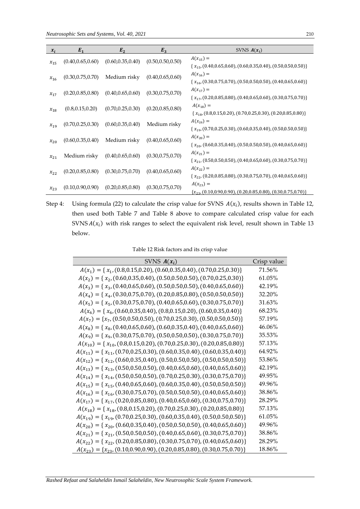| $x_i$    | $E_1$              | E <sub>2</sub>     | $E_3$              | SVNS $A(x_i)$                                                                             |
|----------|--------------------|--------------------|--------------------|-------------------------------------------------------------------------------------------|
| $x_{15}$ | (0.40, 0.65, 0.60) | (0.60, 0.35, 0.40) | (0.50, 0.50, 0.50) | $A(x_{15}) =$<br>$\{x_{15}, (0.40, 0.65, 0.60), (0.60, 0.35, 0.40), (0.50, 0.50, 0.50)\}$ |
| $x_{16}$ | (0.30, 0.75, 0.70) | Medium risky       | (0.40, 0.65, 0.60) | $A(x_{16}) =$<br>$\{x_{16}, (0.30, 0.75, 0.70), (0.50, 0.50, 0.50), (0.40, 0.65, 0.60)\}$ |
| $x_{17}$ | (0.20, 0.85, 0.80) | (0.40, 0.65, 0.60) | (0.30, 0.75, 0.70) | $A(x_{17}) =$<br>$\{x_{17}, (0.20, 0.85, 0.80), (0.40, 0.65, 0.60), (0.30, 0.75, 0.70)\}$ |
| $x_{18}$ | (0.8, 0.15, 0.20)  | (0.70, 0.25, 0.30) | (0.20, 0.85, 0.80) | $A(x_{18}) =$<br>$\{x_{18}, (0.8, 0.15, 0.20), (0.70, 0.25, 0.30), (0.20, 0.85, 0.80)\}$  |
| $x_{19}$ | (0.70, 0.25, 0.30) | (0.60, 0.35, 0.40) | Medium risky       | $A(x_{19}) =$<br>$\{x_{19}, (0.70, 0.25, 0.30), (0.60, 0.35, 0.40), (0.50, 0.50, 0.50)\}$ |
| $x_{20}$ | (0.60, 0.35, 0.40) | Medium risky       | (0.40, 0.65, 0.60) | $A(x_{20}) =$<br>$\{x_{20}, (0.60, 0.35, 0.40), (0.50, 0.50, 0.50), (0.40, 0.65, 0.60)\}$ |
| $x_{21}$ | Medium risky       | (0.40, 0.65, 0.60) | (0.30, 0.75, 0.70) | $A(x_{21}) =$<br>$\{x_{21}, (0.50, 0.50, 0.50), (0.40, 0.65, 0.60), (0.30, 0.75, 0.70)\}$ |
| $x_{22}$ | (0.20, 0.85, 0.80) | (0.30, 0.75, 0.70) | (0.40, 0.65, 0.60) | $A(x_{22}) =$<br>$\{x_{22}, (0.20, 0.85, 0.80), (0.30, 0.75, 0.70), (0.40, 0.65, 0.60)\}$ |
| $x_{23}$ | (0.10, 0.90, 0.90) | (0.20, 0.85, 0.80) | (0.30, 0.75, 0.70) | $A(x_{23}) =$<br>${x_{23}, (0.10, 0.90, 0.90), (0.20, 0.85, 0.80), (0.30, 0.75, 0.70)}$   |

Step 4: Using formula [\(22\)](#page-7-7) to calculate the crisp value for SVNS  $A(x_i)$ , results shown in [Table 12,](#page-15-0) then used both [Table 7](#page-12-1) and [Table 8](#page-12-0) [above](#page-12-0) to compare calculated crisp value for each SVNS  $A(x_i)$  with risk ranges to select the equivalent risk level, result shown in [Table 13](#page-16-0) [below.](#page-16-0)

| Table 12 Risk factors and its crisp value |  |
|-------------------------------------------|--|
|-------------------------------------------|--|

<span id="page-15-0"></span>

| SVNS $A(x_i)$                                                                         | Crisp value |
|---------------------------------------------------------------------------------------|-------------|
| $A(x_1) = \{x_1, (0.8, 0.15, 0.20), (0.60, 0.35, 0.40), (0.70, 0.25, 0.30)\}\$        | 71.56%      |
| $A(x_2) = \{x_2, (0.60, 0.35, 0.40), (0.50, 0.50, 0.50), (0.70, 0.25, 0.30)\}\$       | 61.05%      |
| $A(x_3) = \{x_3, (0.40, 0.65, 0.60), (0.50, 0.50, 0.50), (0.40, 0.65, 0.60)\}\$       | 42.19%      |
| $A(x_4) = \{x_4, (0.30, 0.75, 0.70), (0.20, 0.85, 0.80), (0.50, 0.50, 0.50)\}\$       | 32.20%      |
| $A(x_5) = \{x_5, (0.30, 0.75, 0.70), (0.40, 0.65, 0.60), (0.30, 0.75, 0.70)\}\$       | 31.63%      |
| $A(x_6) = \{x_6, (0.60, 0.35, 0.40), (0.8, 0.15, 0.20), (0.60, 0.35, 0.40)\}\$        | 68.23%      |
| $A(x_7) = \{x_7, (0.50, 0.50, 0.50), (0.70, 0.25, 0.30), (0.50, 0.50, 0.50)\}\$       | 57.19%      |
| $A(x_8) = \{x_8, (0.40, 0.65, 0.60), (0.60, 0.35, 0.40), (0.40, 0.65, 0.60)\}\$       | 46.06%      |
| $A(x_9) = \{x_9, (0.30, 0.75, 0.70), (0.50, 0.50, 0.50), (0.30, 0.75, 0.70)\}\$       | 35.53%      |
| $A(x_{10}) = \{x_{10}, (0.8, 0.15, 0.20), (0.70, 0.25, 0.30), (0.20, 0.85, 0.80)\}\$  | 57.13%      |
| $A(x_{11}) = \{x_{11}, (0.70, 0.25, 0.30), (0.60, 0.35, 0.40), (0.60, 0.35, 0.40)\}\$ | 64.92%      |
| $A(x_{12}) = \{x_{12}, (0.60, 0.35, 0.40), (0.50, 0.50, 0.50), (0.50, 0.50, 0.50)\}\$ | 53.86%      |
| $A(x_{13}) = \{x_{13}, (0.50, 0.50, 0.50), (0.40, 0.65, 0.60), (0.40, 0.65, 0.60)\}\$ | 42.19%      |
| $A(x_{14}) = \{x_{14}, (0.50, 0.50, 0.50), (0.70, 0.25, 0.30), (0.30, 0.75, 0.70)\}\$ | 49.95%      |
| $A(x_{15}) = \{x_{15}, (0.40, 0.65, 0.60), (0.60, 0.35, 0.40), (0.50, 0.50, 0.50)\}\$ | 49.96%      |
| $A(x_{16}) = \{x_{16}, (0.30, 0.75, 0.70), (0.50, 0.50, 0.50), (0.40, 0.65, 0.60)\}\$ | 38.86%      |
| $A(x_{17}) = \{x_{17}, (0.20, 0.85, 0.80), (0.40, 0.65, 0.60), (0.30, 0.75, 0.70)\}\$ | 28.29%      |
| $A(x_{18}) = \{x_{18}, (0.8, 0.15, 0.20), (0.70, 0.25, 0.30), (0.20, 0.85, 0.80)\}\$  | 57.13%      |
| $A(x_{19}) = \{x_{19}, (0.70, 0.25, 0.30), (0.60, 0.35, 0.40), (0.50, 0.50, 0.50)\}\$ | 61.05%      |
| $A(x_{20}) = \{x_{20}, (0.60, 0.35, 0.40), (0.50, 0.50, 0.50), (0.40, 0.65, 0.60)\}\$ | 49.96%      |
| $A(x_{21}) = \{x_{21}, (0.50, 0.50, 0.50), (0.40, 0.65, 0.60), (0.30, 0.75, 0.70)\}\$ | 38.86%      |
| $A(x_{22}) = \{x_{22}, (0.20, 0.85, 0.80), (0.30, 0.75, 0.70), (0.40, 0.65, 0.60)\}\$ | 28.29%      |
| $A(x_{23}) = \{x_{23}, (0.10, 0.90, 0.90), (0.20, 0.85, 0.80), (0.30, 0.75, 0.70)\}\$ | 18.86%      |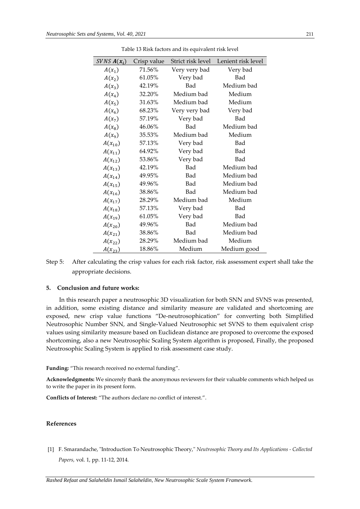<span id="page-16-0"></span>

| $SVNSA(x_i)$ | Crisp value | Strict risk level | Lenient risk level |
|--------------|-------------|-------------------|--------------------|
| $A(x_1)$     | 71.56%      | Very very bad     | Very bad           |
| $A(x_2)$     | 61.05%      | Very bad          | Bad                |
| $A(x_3)$     | 42.19%      | Bad               | Medium bad         |
| $A(x_4)$     | 32.20%      | Medium bad        | Medium             |
| $A(x_5)$     | 31.63%      | Medium bad        | Medium             |
| $A(x_6)$     | 68.23%      | Very very bad     | Very bad           |
| $A(x_7)$     | 57.19%      | Very bad          | Bad                |
| $A(x_8)$     | 46.06%      | Bad               | Medium bad         |
| $A(x_9)$     | 35.53%      | Medium bad        | Medium             |
| $A(x_{10})$  | 57.13%      | Very bad          | Bad                |
| $A(x_{11})$  | 64.92%      | Very bad          | Bad                |
| $A(x_{12})$  | 53.86%      | Very bad          | Bad                |
| $A(x_{13})$  | 42.19%      | Bad               | Medium bad         |
| $A(x_{14})$  | 49.95%      | Bad               | Medium bad         |
| $A(x_{15})$  | 49.96%      | Bad               | Medium bad         |
| $A(x_{16})$  | 38.86%      | Bad               | Medium bad         |
| $A(x_{17})$  | 28.29%      | Medium bad        | Medium             |
| $A(x_{18})$  | 57.13%      | Very bad          | Bad                |
| $A(x_{19})$  | 61.05%      | Very bad          | Bad                |
| $A(x_{20})$  | 49.96%      | Bad               | Medium bad         |
| $A(x_{21})$  | 38.86%      | Bad               | Medium bad         |
| $A(x_{22})$  | 28.29%      | Medium bad        | Medium             |
| $A(x_{23})$  | 18.86%      | Medium            | Medium good        |

Table 13 Risk factors and its equivalent risk level

Step 5: After calculating the crisp values for each risk factor, risk assessment expert shall take the appropriate decisions.

# **5. Conclusion and future works:**

In this research paper a neutrosophic 3D visualization for both SNN and SVNS was presented, in addition, some existing distance and similarity measure are validated and shortcoming are exposed, new crisp value functions "De-neutrosophication" for converting both Simplified Neutrosophic Number SNN, and Single-Valued Neutrosophic set SVNS to them equivalent crisp values using similarity measure based on Euclidean distance are proposed to overcome the exposed shortcoming, also a new Neutrosophic Scaling System algorithm is proposed, Finally, the proposed Neutrosophic Scaling System is applied to risk assessment case study.

**Funding:** "This research received no external funding".

**Acknowledgments:** We sincerely thank the anonymous reviewers for their valuable comments which helped us to write the paper in its present form.

**Conflicts of Interest:** "The authors declare no conflict of interest.".

# **References**

[1] F. Smarandache, "Introduction To Neutrosophic Theory," *Neutrosophic Theory and Its Applications - Collected Papers,* vol. 1, pp. 11-12, 2014.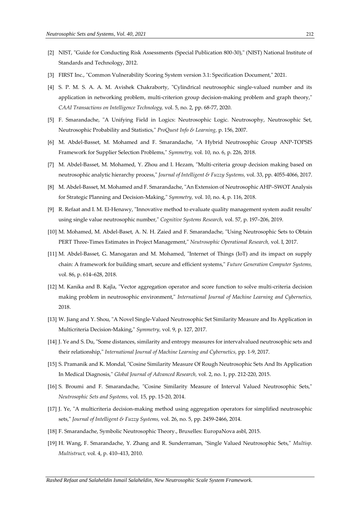- [2] NIST, "Guide for Conducting Risk Assessments (Special Publication 800-30)," (NIST) National Institute of Standards and Technology, 2012.
- [3] FIRST Inc., "Common Vulnerability Scoring System version 3.1: Specification Document," 2021.
- [4] S. P. M. S. A. A. M. Avishek Chakraborty, "Cylindrical neutrosophic single-valued number and its application in networking problem, multi-criterion group decision-making problem and graph theory," *CAAI Transactions on Intelligence Technology,* vol. 5, no. 2, pp. 68-77, 2020.
- [5] F. Smarandache, "A Unifying Field in Logics: Neutrosophic Logic. Neutrosophy, Neutrosophic Set, Neutrosophic Probability and Statistics," *ProQuest Info & Learning,* p. 156, 2007.
- [6] M. Abdel-Basset, M. Mohamed and F. Smarandache, "A Hybrid Neutrosophic Group ANP-TOPSIS Framework for Supplier Selection Problems," *Symmetry,* vol. 10, no. 6, p. 226, 2018.
- [7] M. Abdel-Basset, M. Mohamed, Y. Zhou and I. Hezam, "Multi-criteria group decision making based on neutrosophic analytic hierarchy process," *Journal of Intelligent & Fuzzy Systems,* vol. 33, pp. 4055-4066, 2017.
- [8] M. Abdel-Basset, M. Mohamed and F. Smarandache, "An Extension of Neutrosophic AHP–SWOT Analysis for Strategic Planning and Decision-Making," *Symmetry,* vol. 10, no. 4, p. 116, 2018.
- [9] R. Refaat and I. M. El-Henawy, "Innovative method to evaluate quality management system audit results' using single value neutrosophic number," *Cognitive Systems Research,* vol. 57, p. 197–206, 2019.
- [10] M. Mohamed, M. Abdel-Baset, A. N. H. Zaied and F. Smarandache, "Using Neutrosophic Sets to Obtain PERT Three-Times Estimates in Project Management," *Neutrosophic Operational Research,* vol. I, 2017.
- [11] M. Abdel-Basset, G. Manogaran and M. Mohamed, "Internet of Things (IoT) and its impact on supply chain: A framework for building smart, secure and efficient systems," *Future Generation Computer Systems,*  vol. 86, p. 614–628, 2018.
- [12] M. Kanika and B. Kajla, "Vector aggregation operator and score function to solve multi-criteria decision making problem in neutrosophic environment," *International Journal of Machine Learning and Cybernetics,*  2018.
- [13] W. Jiang and Y. Shou, "A Novel Single-Valued Neutrosophic Set Similarity Measure and Its Application in Multicriteria Decision-Making," *Symmetry,* vol. 9, p. 127, 2017.
- [14] J. Ye and S. Du, "Some distances, similarity and entropy measures for intervalvalued neutrosophic sets and their relationship," *International Journal of Machine Learning and Cybernetics,* pp. 1-9, 2017.
- [15] S. Pramanik and K. Mondal, "Cosine Similarity Measure Of Rough Neutrosophic Sets And Its Application In Medical Diagnosis," *Global Journal of Advanced Research,* vol. 2, no. 1, pp. 212-220, 2015.
- [16] S. Broumi and F. Smarandache, "Cosine Similarity Measure of Interval Valued Neutrosophic Sets," *Neutrosophic Sets and Systems,* vol. 15, pp. 15-20, 2014.
- [17] J. Ye, "A multicriteria decision-making method using aggregation operators for simplified neutrosophic sets," *Journal of Intelligent & Fuzzy Systems,* vol. 26, no. 5, pp. 2459-2466, 2014.
- [18] F. Smarandache, Symbolic Neutrosophic Theory., Bruxelles: EuropaNova asbl, 2015.
- [19] H. Wang, F. Smarandache, Y. Zhang and R. Sunderraman, "Single Valued Neutrosophic Sets," *Multisp. Multistruct,* vol. 4, p. 410–413, 2010.